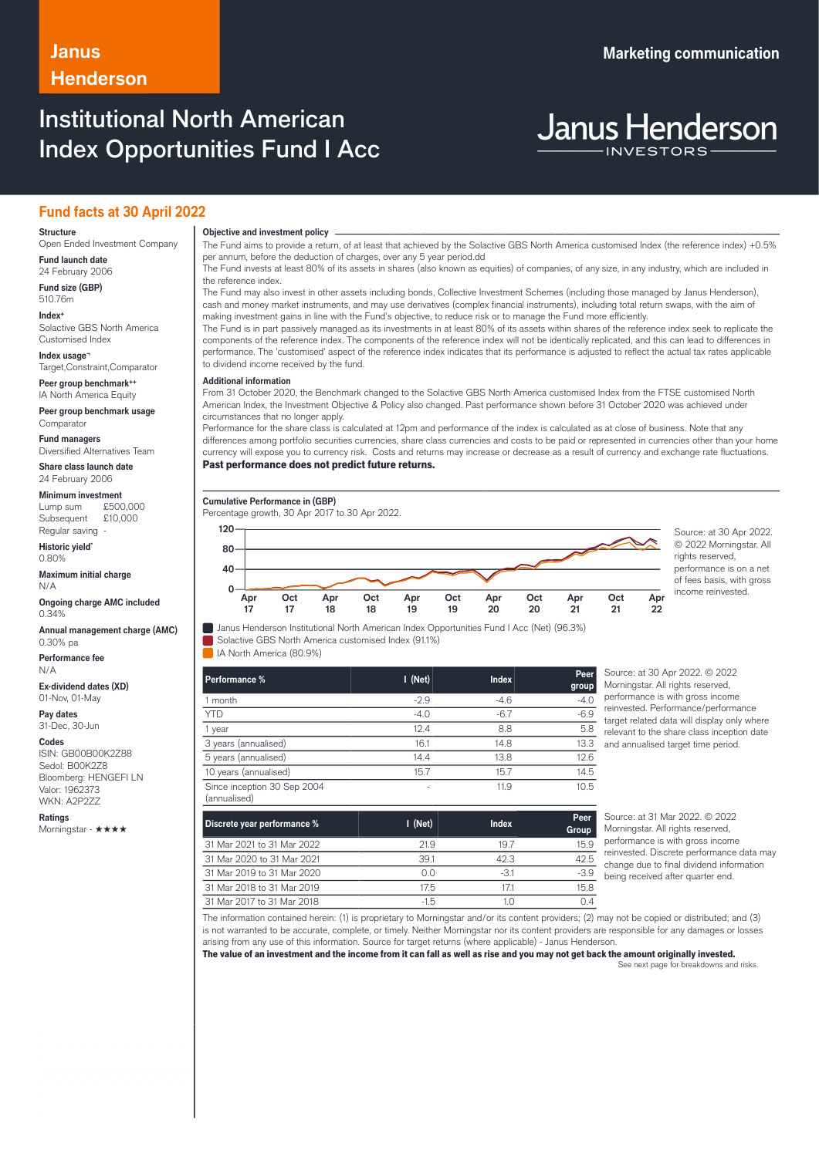## **Janus Marketing communication Henderson**

# Institutional North American Index Opportunities Fund I Acc

**Janus Henderson** 

### **Fund facts at 30 April 2022**

#### **Structure**

Open Ended Investment Company **Fund launch date**

24 February 2006 **Fund size (GBP)**

510.76m **Index+** Solactive GBS North America

Customised Index **Index usage¬**

Target,Constraint,Comparator

**Peer group benchmark++** IA North America Equity

**Peer group benchmark usage** Comparator

**Fund managers** Diversified Alternatives Team

**Share class launch date** 24 February 2006

**Minimum investment**

Lump sum £500,000 Subsequent £10,000 Regular saving

**Historic yield\*** 0.80%

**Maximum initial charge** N/A

**Ongoing charge AMC included** 0.34%

**Annual management charge (AMC)** 0.30% pa

**Performance fee** N/A

**Ex-dividend dates (XD)** 01-Nov, 01-May

**Pay dates** 31-Dec, 30-Jun

**Codes**

ISIN: GB00B00K2Z88 Sedol: B00K2Z8 Bloomberg: HENGEFI LN Valor: 1962373 WKN: A2P2ZZ

**Ratings** Morningstar - ★★★★

**Objective and investment policy** ──────────────────────────────────────────────────────────────────────────────────────────────────────────────────────────────────────────────────────────────────────────────────────────────────────────────────────────────────────────────────────────────────────────────────────────────────────────────────────────────────────────────────────────────────────────────────────────────────────────────────────────────────────────────────────────────────────────────────────────────────────────────────── The Fund aims to provide a return, of at least that achieved by the Solactive GBS North America customised Index (the reference index) +0.5% per annum, before the deduction of charges, over any 5 year period.dd

The Fund invests at least 80% of its assets in shares (also known as equities) of companies, of any size, in any industry, which are included in the reference index.

The Fund may also invest in other assets including bonds, Collective Investment Schemes (including those managed by Janus Henderson), cash and money market instruments, and may use derivatives (complex financial instruments), including total return swaps, with the aim of making investment gains in line with the Fund's objective, to reduce risk or to manage the Fund more efficiently.

The Fund is in part passively managed as its investments in at least 80% of its assets within shares of the reference index seek to replicate the components of the reference index. The components of the reference index will not be identically replicated, and this can lead to differences in performance. The 'customised' aspect of the reference index indicates that its performance is adjusted to reflect the actual tax rates applicable to dividend income received by the fund.

#### … **Additional information**

From 31 October 2020, the Benchmark changed to the Solactive GBS North America customised Index from the FTSE customised North American Index, the Investment Objective & Policy also changed. Past performance shown before 31 October 2020 was achieved under circumstances that no longer apply.

Performance for the share class is calculated at 12pm and performance of the index is calculated as at close of business. Note that any differences among portfolio securities currencies, share class currencies and costs to be paid or represented in currencies other than your home currency will expose you to currency risk. Costs and returns may increase or decrease as a result of currency and exchange rate fluctuations. Past performance does not predict future returns.

**Cumulative Performance in (GBP)**

Percentage growth, 30 Apr 2017 to 30 Apr 2022.



© 2022 Morningstar. All rights reserved. performance is on a net of fees basis, with gross income reinvested.

Janus Henderson Institutional North American Index Opportunities Fund I Acc (Net) (96.3%) Solactive GBS North America customised Index (91.1%)

IA North America (80.9%)

| Performance %                               | $I$ (Net) | <b>Index</b> | S<br>Peer<br>Ν<br>group |
|---------------------------------------------|-----------|--------------|-------------------------|
| 1 month                                     | $-2.9$    | $-4.6$       | р<br>$-4.0$             |
| <b>YTD</b>                                  | $-4.0$    | $-6.7$       | r<br>$-6.9$<br>t        |
| 1 year                                      | 12.4      | 8.8          | 5.8<br>r                |
| 3 years (annualised)                        | 16.1      | 14.8         | 13.3<br>a               |
| 5 years (annualised)                        | 14.4      | 13.8         | 12.6                    |
| 10 years (annualised)                       | 15.7      | 15.7         | 14.5                    |
| Since inception 30 Sep 2004<br>(annualised) | ٠         | 11.9         | 10.5                    |

Source: at 30 Apr 2022. © 2022 Morningstar. All rights reserved, performance is with gross income einvested. Performance/performance arget related data will display only where relevant to the share class inception date and annualised target time period.

| Discrete year performance % | $\blacksquare$ (Net) | <b>Index</b> | Peer<br>Group |
|-----------------------------|----------------------|--------------|---------------|
| 31 Mar 2021 to 31 Mar 2022  | 21.9                 | 19.7         | 15.9          |
| 31 Mar 2020 to 31 Mar 2021  | 39.1                 | 42.3         | 42.5          |
| 31 Mar 2019 to 31 Mar 2020  | 0.0                  | $-3.1$       | $-3.9$        |
| 31 Mar 2018 to 31 Mar 2019  | 17.5                 | 171          | 15.8          |
| 31 Mar 2017 to 31 Mar 2018  | $-1.5$               | 1.0          |               |

Source: at 31 Mar 2022. © 2022 Morningstar. All rights reserved, performance is with gross income reinvested. Discrete performance data may change due to final dividend information being received after quarter end.

The information contained herein: (1) is proprietary to Morningstar and/or its content providers; (2) may not be copied or distributed; and (3) is not warranted to be accurate, complete, or timely. Neither Morningstar nor its content providers are responsible for any damages or losses arising from any use of this information. Source for target returns (where applicable) - Janus Henderson.

The value of an investment and the income from it can fall as well as rise and you may not get back the amount originally invested.

See next page for breakdowns and risks.